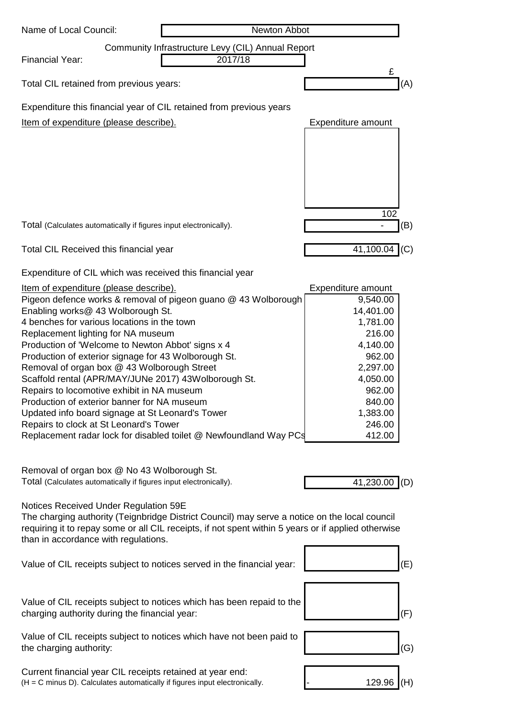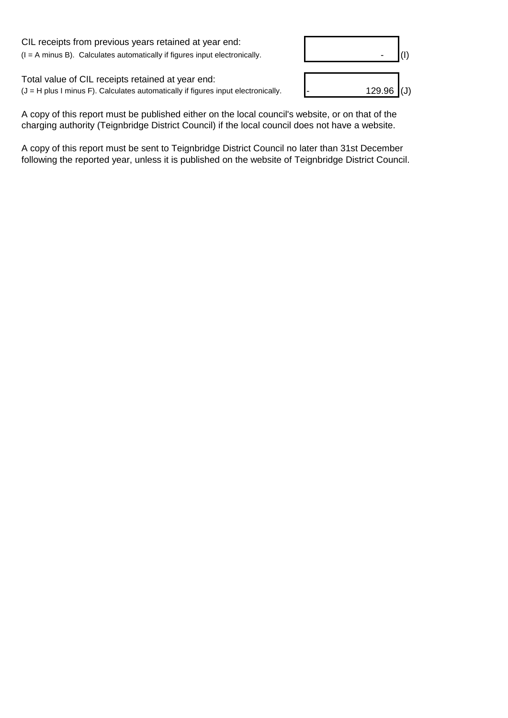CIL receipts from previous years retained at year end:  $(I = A \text{ minus } B)$ . Calculates automatically if figures input electronically.

Total value of CIL receipts retained at year end:  $(J = H$  plus I minus F). Calculates automatically if figures input electronically.



A copy of this report must be published either on the local council's website, or on that of the charging authority (Teignbridge District Council) if the local council does not have a website.

A copy of this report must be sent to Teignbridge District Council no later than 31st December following the reported year, unless it is published on the website of Teignbridge District Council.